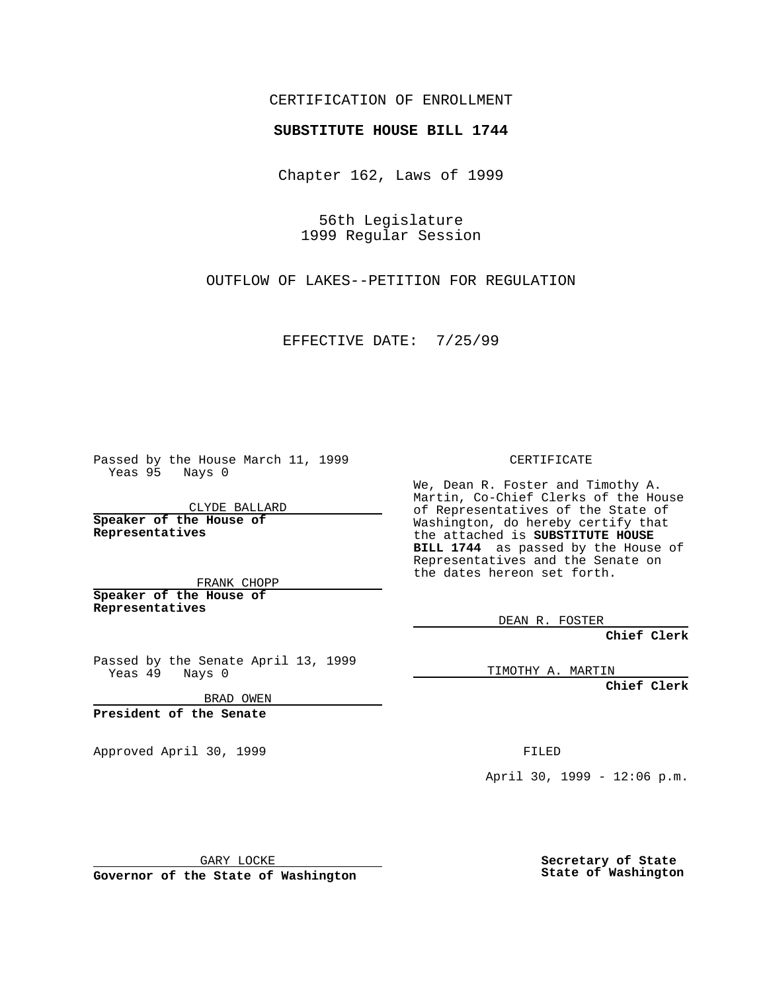### CERTIFICATION OF ENROLLMENT

## **SUBSTITUTE HOUSE BILL 1744**

Chapter 162, Laws of 1999

56th Legislature 1999 Regular Session

OUTFLOW OF LAKES--PETITION FOR REGULATION

EFFECTIVE DATE: 7/25/99

Passed by the House March 11, 1999 Yeas 95 Nays 0

CLYDE BALLARD **Speaker of the House of Representatives**

FRANK CHOPP **Speaker of the House of Representatives**

Passed by the Senate April 13, 1999 Yeas 49 Nays 0

BRAD OWEN

**President of the Senate**

Approved April 30, 1999 **FILED** 

#### CERTIFICATE

We, Dean R. Foster and Timothy A. Martin, Co-Chief Clerks of the House of Representatives of the State of Washington, do hereby certify that the attached is **SUBSTITUTE HOUSE BILL 1744** as passed by the House of Representatives and the Senate on the dates hereon set forth.

DEAN R. FOSTER

**Chief Clerk**

TIMOTHY A. MARTIN

**Chief Clerk**

April 30, 1999 - 12:06 p.m.

GARY LOCKE

**Governor of the State of Washington**

**Secretary of State State of Washington**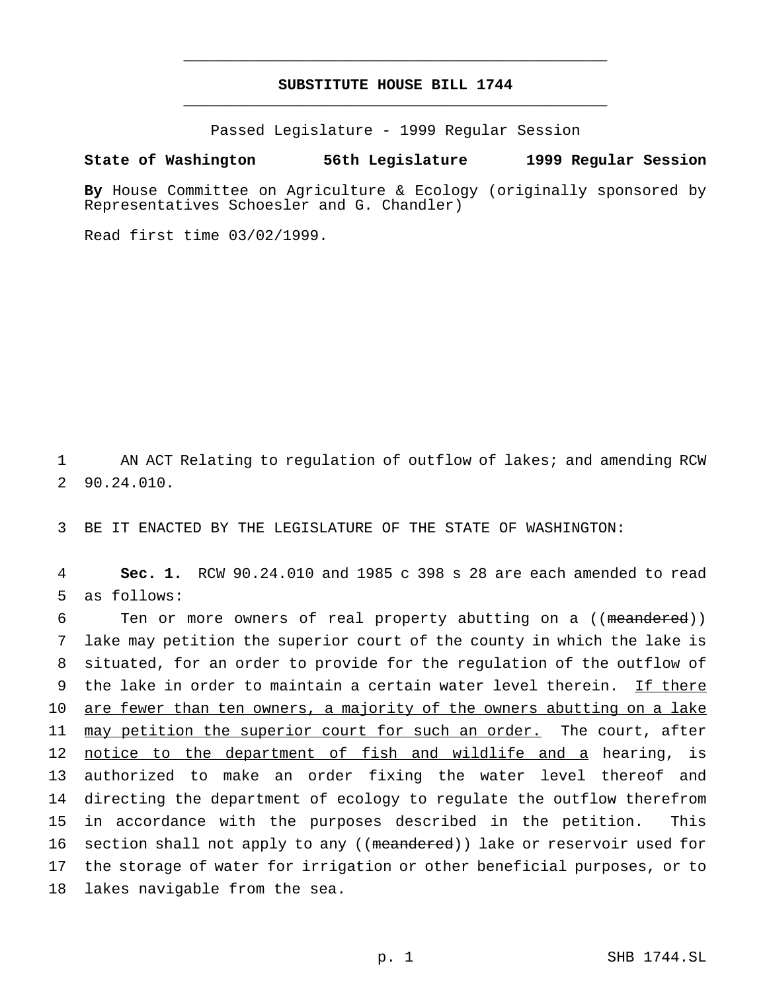# **SUBSTITUTE HOUSE BILL 1744** \_\_\_\_\_\_\_\_\_\_\_\_\_\_\_\_\_\_\_\_\_\_\_\_\_\_\_\_\_\_\_\_\_\_\_\_\_\_\_\_\_\_\_\_\_\_\_

\_\_\_\_\_\_\_\_\_\_\_\_\_\_\_\_\_\_\_\_\_\_\_\_\_\_\_\_\_\_\_\_\_\_\_\_\_\_\_\_\_\_\_\_\_\_\_

Passed Legislature - 1999 Regular Session

### **State of Washington 56th Legislature 1999 Regular Session**

**By** House Committee on Agriculture & Ecology (originally sponsored by Representatives Schoesler and G. Chandler)

Read first time 03/02/1999.

1 AN ACT Relating to regulation of outflow of lakes; and amending RCW 2 90.24.010.

3 BE IT ENACTED BY THE LEGISLATURE OF THE STATE OF WASHINGTON:

4 **Sec. 1.** RCW 90.24.010 and 1985 c 398 s 28 are each amended to read 5 as follows:

6 Ten or more owners of real property abutting on a ((meandered)) lake may petition the superior court of the county in which the lake is situated, for an order to provide for the regulation of the outflow of the lake in order to maintain a certain water level therein. If there 10 are fewer than ten owners, a majority of the owners abutting on a lake may petition the superior court for such an order. The court, after notice to the department of fish and wildlife and a hearing, is authorized to make an order fixing the water level thereof and directing the department of ecology to regulate the outflow therefrom in accordance with the purposes described in the petition. This 16 section shall not apply to any ((meandered)) lake or reservoir used for the storage of water for irrigation or other beneficial purposes, or to lakes navigable from the sea.